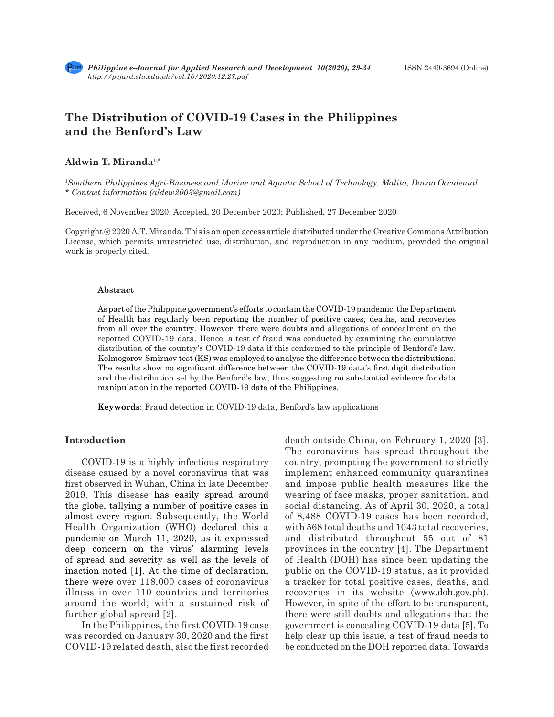

# **The Distribution of COVID-19 Cases in the Philippines and the Benford's Law**

### **Aldwin T. Miranda1,\***

*1 Southern Philippines Agri-Business and Marine and Aquatic School of Technology, Malita, Davao Occidental \* Contact information (aldew2003@gmail.com)*

Received, 6 November 2020; Accepted, 20 December 2020; Published, 27 December 2020

Copyright @ 2020 A.T. Miranda. This is an open access article distributed under the Creative Commons Attribution License, which permits unrestricted use, distribution, and reproduction in any medium, provided the original work is properly cited.

#### **Abstract**

As part of the Philippine government's efforts to contain the COVID-19 pandemic, the Department of Health has regularly been reporting the number of positive cases, deaths, and recoveries from all over the country. However, there were doubts and allegations of concealment on the reported COVID-19 data. Hence, a test of fraud was conducted by examining the cumulative distribution of the country's COVID-19 data if this conformed to the principle of Benford's law. Kolmogorov-Smirnov test (KS) was employed to analyse the difference between the distributions. The results show no significant difference between the COVID-19 data's first digit distribution and the distribution set by the Benford's law, thus suggesting no substantial evidence for data manipulation in the reported COVID-19 data of the Philippines.

**Keywords**: Fraud detection in COVID-19 data, Benford's law applications

# **Introduction**

COVID-19 is a highly infectious respiratory disease caused by a novel coronavirus that was first observed in Wuhan, China in late December 2019. This disease has easily spread around the globe, tallying a number of positive cases in almost every region. Subsequently, the World Health Organization (WHO) declared this a pandemic on March 11, 2020, as it expressed deep concern on the virus' alarming levels of spread and severity as well as the levels of inaction noted [1]. At the time of declaration, there were over 118,000 cases of coronavirus illness in over 110 countries and territories around the world, with a sustained risk of further global spread [2].

In the Philippines, the first COVID-19 case was recorded on January 30, 2020 and the first COVID-19 related death, also the first recorded death outside China, on February 1, 2020 [3]. The coronavirus has spread throughout the country, prompting the government to strictly implement enhanced community quarantines and impose public health measures like the wearing of face masks, proper sanitation, and social distancing. As of April 30, 2020, a total of 8,488 COVID-19 cases has been recorded, with 568 total deaths and 1043 total recoveries, and distributed throughout 55 out of 81 provinces in the country [4]. The Department of Health (DOH) has since been updating the public on the COVID-19 status, as it provided a tracker for total positive cases, deaths, and recoveries in its website (www.doh.gov.ph). However, in spite of the effort to be transparent, there were still doubts and allegations that the government is concealing COVID-19 data [5]. To help clear up this issue, a test of fraud needs to be conducted on the DOH reported data. Towards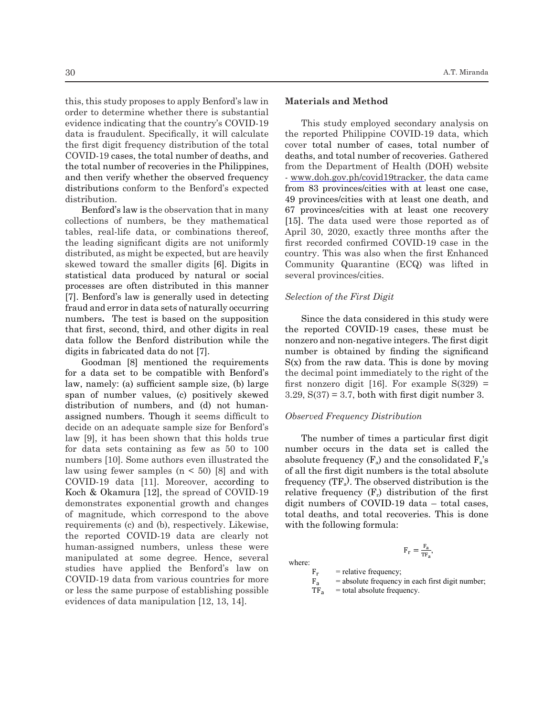this, this study proposes to apply Benford's law in order to determine whether there is substantial evidence indicating that the country's COVID-19 data is fraudulent. Specifically, it will calculate the first digit frequency distribution of the total COVID-19 cases, the total number of deaths, and the total number of recoveries in the Philippines, and then verify whether the observed frequency distributions conform to the Benford's expected distribution.

Benford's law is the observation that in many collections of numbers, be they mathematical tables, real-life data, or combinations thereof, the leading significant digits are not uniformly distributed, as might be expected, but are heavily skewed toward the smaller digits [6]. Digits in statistical data produced by natural or social processes are often distributed in this manner [7]. Benford's law is generally used in detecting fraud and error in data sets of naturally occurring numbers**.** The test is based on the supposition that first, second, third, and other digits in real data follow the Benford distribution while the digits in fabricated data do not [7].  $\mathbf{S}$  magnitude, which correspond to the above requirements (c) and (b), respectively. Likewise, the above requirements (c),  $\mathbf{S}$  $\frac{1}{\sqrt{2}}$ 

Goodman [8] mentioned the requirements for a data set to be compatible with Benford's law, namely: (a) sufficient sample size, (b) large span of number values, (c) positively skewed distribution of numbers, and (d) not humanassigned numbers. Though it seems difficult to decide on an adequate sample size for Benford's law [9], it has been shown that this holds true for data sets containing as few as 50 to 100 numbers [10]. Some authors even illustrated the law using fewer samples  $(n < 50)$  [8] and with COVID-19 data [11]. Moreover, according to Koch & Okamura [12], the spread of COVID-19 demonstrates exponential growth and changes of magnitude, which correspond to the above requirements (c) and (b), respectively. Likewise, the reported COVID-19 data are clearly not 84 human-assigned numbers, unless these were manipulated at some degree. Hence, several studies have applied the Benford's law on COVID-19 data from various countries for more or less the same purpose of establishing possible evidences of data manipulation [12, 13, 14]. were  $F_r = \frac{F_a}{TF_a}$ ,

### **Materials and Method**

This study employed secondary analysis on the reported Philippine COVID-19 data, which cover total number of cases, total number of deaths, and total number of recoveries. Gathered from the Department of Health (DOH) website uency - <u>www.doh.gov.ph/covid19tracker</u>, the data came ected from 83 provinces/cities with at least one case, 49 provinces/cities with at least one death, and many 67 provinces/cities with at least one actual, and many 67 provinces/cities with at least one recovery atical [15]. The data used were those reported as of ereof, April 30, 2020, exactly three months after the ormly first recorded confirmed COVID-19 case in the eavily country. This was also when the first Enhanced for the contrast containing as few and the law and the law using the law using the law using the law using the law using the law using the law using the law using the law using the law using the law using the law using the social several provinces/cities.  $\frac{1}{2}$  for  $\frac{1}{2}$ . The distribution while distribution distribution data do not  $\frac{1}{2}$ .  $\frac{1}{8}$  communty  $\frac{1}{8}$  and  $\frac{1}{10}$ . Was mean in

### **Selection of the First Digit** and  $\frac{1}{2}$  selection of the First Digit

Fixtures<br>  $\frac{1}{2}$  Since the data considered in this study were the reported COVID-19 cases, these must be e the nonzero and non-negative integers. The first digit number is obtained by finding the significand  $\tilde{S}(t)$ . nents  $S(x)$  from the raw data. This is done by moving ford's the decimal point immediately to the right of the large first nonzero digit [16]. For example  $S(329)$  =  $3.29, S(37) = 3.7$ , both with first digit number 3.  $\frac{1}{2}$  must be directle use.  $\frac{1}{20}$   $\frac{1}{20}$ ,  $\frac{1}{20}$ ,  $\frac{1}{20}$ ,  $\frac{1}{20}$ ,  $\frac{1}{20}$ ,  $\frac{1}{20}$  case in the country. This case is the country. This case in the country. This case is the country. This case in the country. This case is t

#### *Community Conserved Frequency Distribution* ult to Observe

*I Service* **Selection Contains** The number of times a particular first digit 0 100 number occurs in the data set is called the  $\text{Pd}$  the absolute frequency (F<sub>a</sub>) and the consolidated  $\text{F}_\text{a}$ 's with of all the first digit numbers is the total absolute ng to frequency  $(TF_a)$ . The observed distribution is the ID-19 relative frequency  $(F_r)$  distribution of the first anges digit numbers of COVID-19 data – total cases, above total deaths, and total recoveries. This is done with the following formula:<br>with the following formula:  $\frac{1}{2}$  studies the number of this studies a particular life must be must be must be must be must be must be must be must be must be must be must be must be must be must be must be must be must be must be must be must b  $\frac{1}{2}$  with the following formula:

where:

 $F_r$  = relative frequency;<br> $F_a$  = absolute frequency

- $F_a$  = absolute frequency in each first digit number;<br>TF<sub>a</sub> = total absolute frequency.
	- $=$  total absolute frequency.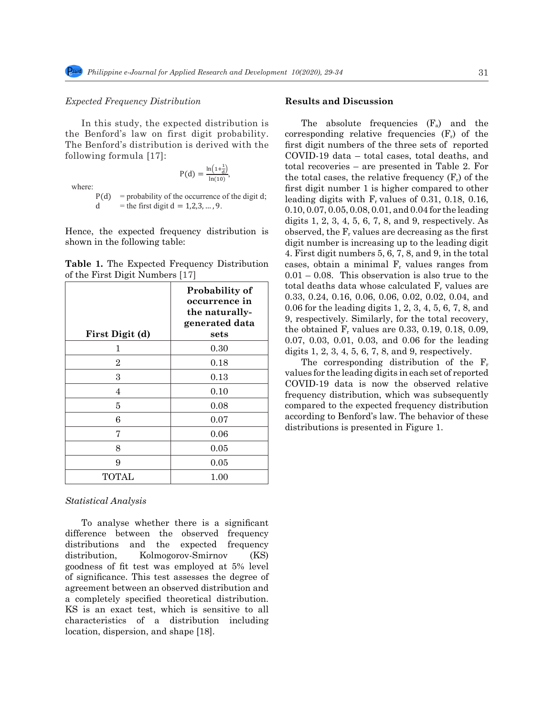#### *Expected Frequency Distribution*

In this study, the expected distribution is the Benford's law on first digit probability. corresponding relationships the Benford's law on first digit probability. The Benford's distribution is derived with the following formula [17]: First Demond's law on first dight provability. Corresponding for

 $P(d) = \frac{\ln(1+\frac{1}{d})}{\ln(10)},$ where:

 $P(d)$  = probability of the occurrence of the digit d;  $=$  the first digit d  $= 1, 2, 3, ..., 9$ .

Hence, the expected frequency distribution is  $\alpha$ shown in the following table: digit  $\frac{1}{2}$ 

|                                 | <b>Table 1.</b> The Expected Frequency Distribution |
|---------------------------------|-----------------------------------------------------|
| of the First Digit Numbers [17] |                                                     |

| $\frac{1}{2}$ and $\frac{1}{2}$ in $\frac{1}{2}$ is a complete $\frac{1}{2}$ in $\frac{1}{2}$ |                                                                             | 0.00. THIS ODSCIVATION IS ALSO THE TO THE                                                                                                                                                                                                                                               |
|-----------------------------------------------------------------------------------------------|-----------------------------------------------------------------------------|-----------------------------------------------------------------------------------------------------------------------------------------------------------------------------------------------------------------------------------------------------------------------------------------|
| First Digit (d)                                                                               | Probability of<br>occurrence in<br>the naturally-<br>generated data<br>sets | total deaths data whose calculated $F_r$ values are<br>$0.33, 0.24, 0.16, 0.06, 0.06, 0.02, 0.02, 0.04,$ and<br>0.06 for the leading digits 1, 2, 3, 4, 5, 6, 7, 8, and<br>9, respectively. Similarly, for the total recovery,<br>the obtained $F_r$ values are 0.33, 0.19, 0.18, 0.09, |
|                                                                                               | 0.30                                                                        | $0.07, 0.03, 0.01, 0.03,$ and $0.06$ for the leading<br>digits $1, 2, 3, 4, 5, 6, 7, 8,$ and $9$ , respectively.                                                                                                                                                                        |
| $\overline{2}$                                                                                | 0.18                                                                        | The corresponding distribution of the $F_r$<br>values for the leading digits in each set of reported                                                                                                                                                                                    |
| 3                                                                                             | 0.13                                                                        |                                                                                                                                                                                                                                                                                         |
| 4                                                                                             | 0.10                                                                        | COVID-19 data is now the observed relative<br>frequency distribution, which was subsequently                                                                                                                                                                                            |
| 5                                                                                             | 0.08                                                                        | compared to the expected frequency distribution                                                                                                                                                                                                                                         |
| 6                                                                                             | 0.07                                                                        | according to Benford's law. The behavior of these                                                                                                                                                                                                                                       |
| 7                                                                                             | 0.06                                                                        | distributions is presented in Figure 1.                                                                                                                                                                                                                                                 |
| 8                                                                                             | 0.05                                                                        |                                                                                                                                                                                                                                                                                         |
| 9                                                                                             | 0.05                                                                        |                                                                                                                                                                                                                                                                                         |
| TOTAL                                                                                         | 1.00                                                                        |                                                                                                                                                                                                                                                                                         |

### 115 digit numbers of the three sets of reported COVID-19 data – total cases, total deaths, and total **Statistical Analysis**

To analyse whether there is a significant difference between the observed frequency distributions and the expected frequency distribution, Kolmogorov-Smirnov (KS) goodness of fit test was employed at 5% level of significance. This test assesses the degree of agreement between an observed distribution and a completely specified theoretical distribution. KS is an exact test, which is sensitive to all characteristics of a distribution including location, dispersion, and shape [18].

#### **Results and Discussion**

Page **3** of **6**

ribution cases, obtain a minimal F<sub>r</sub> values ranges from **natural data sets**, set in a minimal  $\mathbf{r}_1$  values ranges from  $0.01 - 0.08$ . This observation is also true to the The absolute frequencies  $(F_a)$  and the corresponding relative frequencies  $(F_r)$  of the first digit numbers of the three sets of reported COVID-19 data – total cases, total deaths, and total recoveries – are presented in Table 2. For the total cases, the relative frequency  $(F_r)$  of the first digit number 1 is higher compared to other leading digits with  $F_r$  values of 0.31, 0.18, 0.16, 0.10, 0.07, 0.05, 0.08, 0.01, and 0.04 for the leading digits 1, 2, 3, 4, 5, 6, 7, 8, and 9, respectively. As observed, the  $F_r$  values are decreasing as the first digit number is increasing up to the leading digit 4. First digit numbers 5, 6, 7, 8, and 9, in the total total deaths data whose calculated  $F_r$  values are 0.33, 0.24, 0.16, 0.06, 0.06, 0.02, 0.02, 0.04, and 0.06 for the leading digits 1, 2, 3, 4, 5, 6, 7, 8, and 9, respectively. Similarly, for the total recovery, the obtained  $F_r$  values are 0.33, 0.19, 0.18, 0.09, 0.07, 0.03, 0.01, 0.03, and 0.06 for the leading digits 1, 2, 3, 4, 5, 6, 7, 8, and 9, respectively.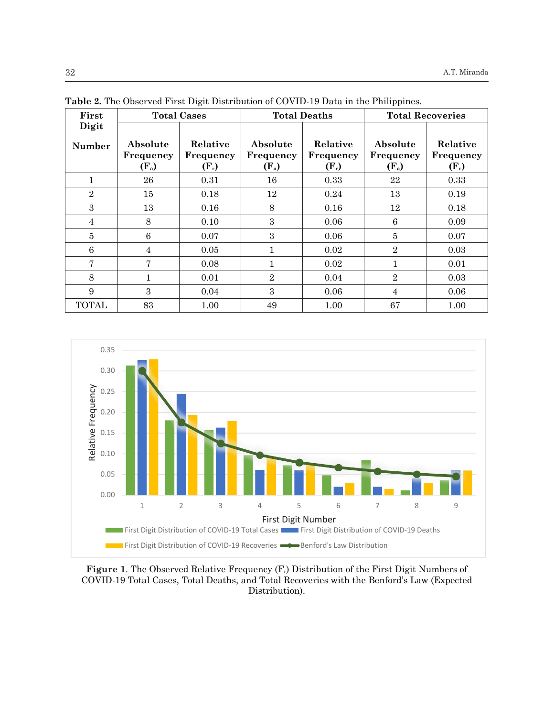| First           | <b>Total Deaths</b><br><b>Total Cases</b> |                                  | <b>Total Recoveries</b>          |                                  |                                  |                                  |
|-----------------|-------------------------------------------|----------------------------------|----------------------------------|----------------------------------|----------------------------------|----------------------------------|
| Digit<br>Number | Absolute<br>Frequency<br>$(F_a)$          | Relative<br>Frequency<br>$(F_r)$ | Absolute<br>Frequency<br>$(F_a)$ | Relative<br>Frequency<br>$(F_r)$ | Absolute<br>Frequency<br>$(F_a)$ | Relative<br>Frequency<br>$(F_r)$ |
| $\mathbf{1}$    | 26                                        | 0.31                             | 16                               | 0.33                             | 22                               | 0.33                             |
| $\overline{2}$  | 15                                        | 0.18                             | 12                               | 0.24                             | 13                               | 0.19                             |
| 3               | 13                                        | 0.16                             | 8                                | 0.16                             | 12                               | 0.18                             |
| 4               | 8                                         | 0.10                             | 3                                | 0.06                             | 6                                | 0.09                             |
| $\overline{5}$  | 6                                         | 0.07                             | 3                                | 0.06                             | $\overline{5}$                   | 0.07                             |
| 6               | $\overline{4}$                            | 0.05                             | 1                                | 0.02                             | $\overline{2}$                   | 0.03                             |
| $\overline{7}$  | 7                                         | 0.08                             | 1                                | 0.02                             | $\mathbf{1}$                     | 0.01                             |
| 8               | 1                                         | 0.01                             | $\overline{2}$                   | 0.04                             | $\overline{2}$                   | 0.03                             |
| 9               | 3                                         | 0.04                             | 3                                | 0.06                             | 4                                | 0.06                             |
| <b>TOTAL</b>    | 83                                        | 1.00                             | 49                               | 1.00                             | 67                               | 1.00                             |

**Table 2.** The Observed First Digit Distribution of COVID-19 Data in the Philippines.



Figure 1. The Observed Relative Frequency (F<sub>r</sub>) Distribution of the First Digit Numbers of COVID-19 Total Cases, Total Deaths, and Total Recoveries with the Benford's Law (Expected Distribution).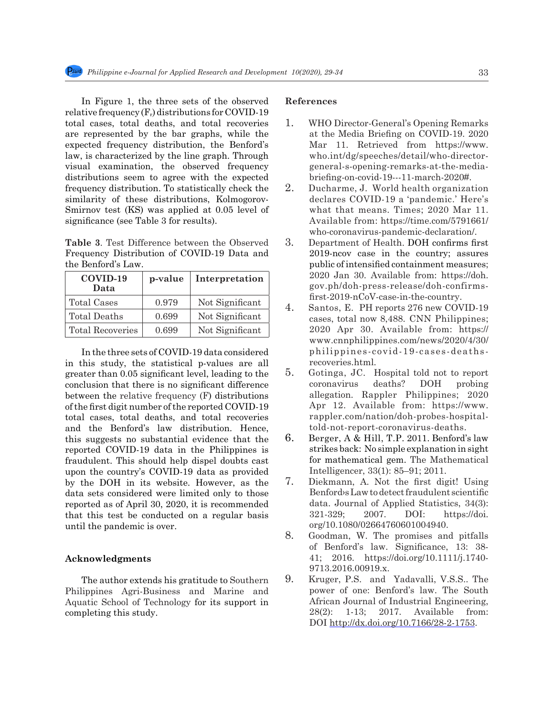In Figure 1, the three sets of the observed relative frequency  $(F_r)$  distributions for COVID-19 total cases, total deaths, and total recoveries are represented by the bar graphs, while the expected frequency distribution, the Benford's law, is characterized by the line graph. Through visual examination, the observed frequency distributions seem to agree with the expected frequency distribution. To statistically check the similarity of these distributions, Kolmogorov-Smirnov test (KS) was applied at 0.05 level of significance (see Table 3 for results).

**Table 3**. Test Difference between the Observed Frequency Distribution of COVID-19 Data and the Benford's Law.

| COVID-19<br>Data        | p-value | Interpretation  |
|-------------------------|---------|-----------------|
| <b>Total Cases</b>      | 0.979   | Not Significant |
| Total Deaths            | 0.699   | Not Significant |
| <b>Total Recoveries</b> | 0.699   | Not Significant |

In the three sets of COVID-19 data considered in this study, the statistical p-values are all greater than 0.05 significant level, leading to the conclusion that there is no significant difference between the relative frequency (F) distributions of the first digit number of the reported COVID-19 total cases, total deaths, and total recoveries and the Benford's law distribution. Hence, this suggests no substantial evidence that the reported COVID-19 data in the Philippines is fraudulent. This should help dispel doubts cast upon the country's COVID-19 data as provided by the DOH in its website. However, as the data sets considered were limited only to those reported as of April 30, 2020, it is recommended that this test be conducted on a regular basis until the pandemic is over.

### **Acknowledgments**

The author extends his gratitude to Southern Philippines Agri-Business and Marine and Aquatic School of Technology for its support in completing this study.

## **References**

- 1. WHO Director-General's Opening Remarks at the Media Briefing on COVID-19. 2020 Mar 11. Retrieved from https://www. who.int/dg/speeches/detail/who-directorgeneral-s-opening-remarks-at-the-mediabriefing-on-covid-19---11-march-2020#.
- 2. Ducharme, J. World health organization declares COVID-19 a 'pandemic.' Here's what that means. Times; 2020 Mar 11. Available from: https://time.com/5791661/ who-coronavirus-pandemic-declaration/.
- 3. Department of Health. DOH confirms first 2019-ncov case in the country; assures public of intensified containment measures; 2020 Jan 30. Available from: https://doh. gov.ph/doh-press-release/doh-confirmsfirst-2019-nCoV-case-in-the-country.
- 4. Santos, E. PH reports 276 new COVID-19 cases, total now 8,488. CNN Philippines; 2020 Apr 30. Available from: https:// www.cnnphilippines.com/news/2020/4/30/ philippines-covid-19-cases-deathsrecoveries.html.
- 5. Gotinga, JC. Hospital told not to report coronavirus deaths? DOH probing allegation. Rappler Philippines; 2020 Apr 12. Available from: https://www. rappler.com/nation/doh-probes-hospitaltold-not-report-coronavirus-deaths.
- 6. Berger, A & Hill, T.P. 2011. Benford's law strikes back: No simple explanation in sight for mathematical gem. The Mathematical Intelligencer, 33(1): 85–91; 2011.
- 7. Diekmann, A. Not the first digit! Using Benford›s Law to detect fraudulent scientific data. Journal of Applied Statistics, 34(3): 321-329; 2007. DOI: https://doi. org/10.1080/02664760601004940.
- 8. Goodman, W. The promises and pitfalls of Benford's law. Significance, 13: 38- 41; 2016. https://doi.org/10.1111/j.1740- 9713.2016.00919.x.
- 9. Kruger, P.S. and Yadavalli, V.S.S.. The power of one: Benford's law. The South African Journal of Industrial Engineering, 28(2): 1-13; 2017. Available from: DOI http://dx.doi.org/10.7166/28-2-1753.